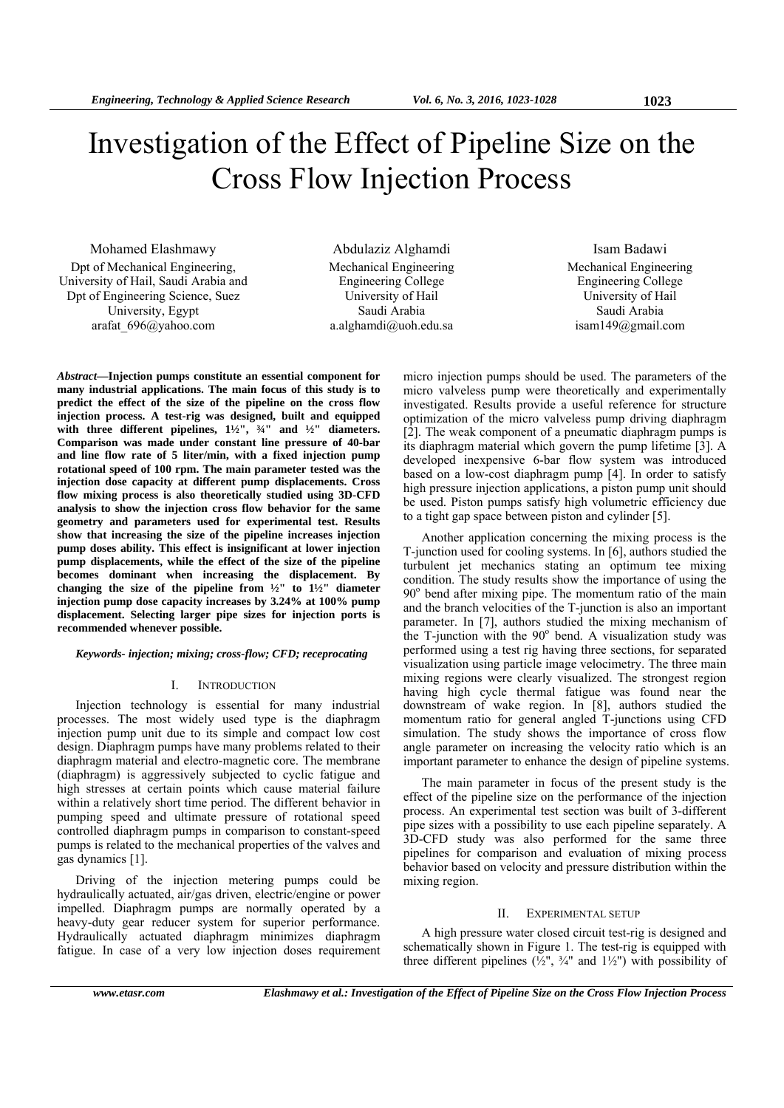# Investigation of the Effect of Pipeline Size on the Cross Flow Injection Process

Mohamed Elashmawy Dpt of Mechanical Engineering, University of Hail, Saudi Arabia and Dpt of Engineering Science, Suez University, Egypt arafat\_696@yahoo.com

Abdulaziz Alghamdi Mechanical Engineering Engineering College University of Hail Saudi Arabia a.alghamdi@uoh.edu.sa

Isam Badawi Mechanical Engineering Engineering College University of Hail Saudi Arabia isam149@gmail.com

*Abstract***—Injection pumps constitute an essential component for many industrial applications. The main focus of this study is to predict the effect of the size of the pipeline on the cross flow injection process. A test-rig was designed, built and equipped**  with three different pipelines,  $1\frac{1}{2}$ ",  $\frac{3}{4}$ " and  $\frac{1}{2}$ " diameters. **Comparison was made under constant line pressure of 40-bar and line flow rate of 5 liter/min, with a fixed injection pump rotational speed of 100 rpm. The main parameter tested was the injection dose capacity at different pump displacements. Cross flow mixing process is also theoretically studied using 3D-CFD analysis to show the injection cross flow behavior for the same geometry and parameters used for experimental test. Results show that increasing the size of the pipeline increases injection pump doses ability. This effect is insignificant at lower injection pump displacements, while the effect of the size of the pipeline becomes dominant when increasing the displacement. By changing the size of the pipeline from ½" to 1½" diameter injection pump dose capacity increases by 3.24% at 100% pump displacement. Selecting larger pipe sizes for injection ports is recommended whenever possible.** 

## *Keywords- injection; mixing; cross-flow; CFD; receprocating*

## I. INTRODUCTION

Injection technology is essential for many industrial processes. The most widely used type is the diaphragm injection pump unit due to its simple and compact low cost design. Diaphragm pumps have many problems related to their diaphragm material and electro-magnetic core. The membrane (diaphragm) is aggressively subjected to cyclic fatigue and high stresses at certain points which cause material failure within a relatively short time period. The different behavior in pumping speed and ultimate pressure of rotational speed controlled diaphragm pumps in comparison to constant-speed pumps is related to the mechanical properties of the valves and gas dynamics [1].

Driving of the injection metering pumps could be hydraulically actuated, air/gas driven, electric/engine or power impelled. Diaphragm pumps are normally operated by a heavy-duty gear reducer system for superior performance. Hydraulically actuated diaphragm minimizes diaphragm fatigue. In case of a very low injection doses requirement micro injection pumps should be used. The parameters of the micro valveless pump were theoretically and experimentally investigated. Results provide a useful reference for structure optimization of the micro valveless pump driving diaphragm [2]. The weak component of a pneumatic diaphragm pumps is its diaphragm material which govern the pump lifetime [3]. A developed inexpensive 6-bar flow system was introduced based on a low-cost diaphragm pump [4]. In order to satisfy high pressure injection applications, a piston pump unit should be used. Piston pumps satisfy high volumetric efficiency due to a tight gap space between piston and cylinder [5].

Another application concerning the mixing process is the T-junction used for cooling systems. In [6], authors studied the turbulent jet mechanics stating an optimum tee mixing condition. The study results show the importance of using the  $90^\circ$  bend after mixing pipe. The momentum ratio of the main and the branch velocities of the T-junction is also an important parameter. In [7], authors studied the mixing mechanism of the T-junction with the  $90^\circ$  bend. A visualization study was performed using a test rig having three sections, for separated visualization using particle image velocimetry. The three main mixing regions were clearly visualized. The strongest region having high cycle thermal fatigue was found near the downstream of wake region. In [8], authors studied the momentum ratio for general angled T-junctions using CFD simulation. The study shows the importance of cross flow angle parameter on increasing the velocity ratio which is an important parameter to enhance the design of pipeline systems.

The main parameter in focus of the present study is the effect of the pipeline size on the performance of the injection process. An experimental test section was built of 3-different pipe sizes with a possibility to use each pipeline separately. A 3D-CFD study was also performed for the same three pipelines for comparison and evaluation of mixing process behavior based on velocity and pressure distribution within the mixing region.

## II. EXPERIMENTAL SETUP

A high pressure water closed circuit test-rig is designed and schematically shown in Figure 1. The test-rig is equipped with three different pipelines ( $\frac{1}{2}$ ",  $\frac{3}{4}$ " and  $\frac{1}{2}$ ") with possibility of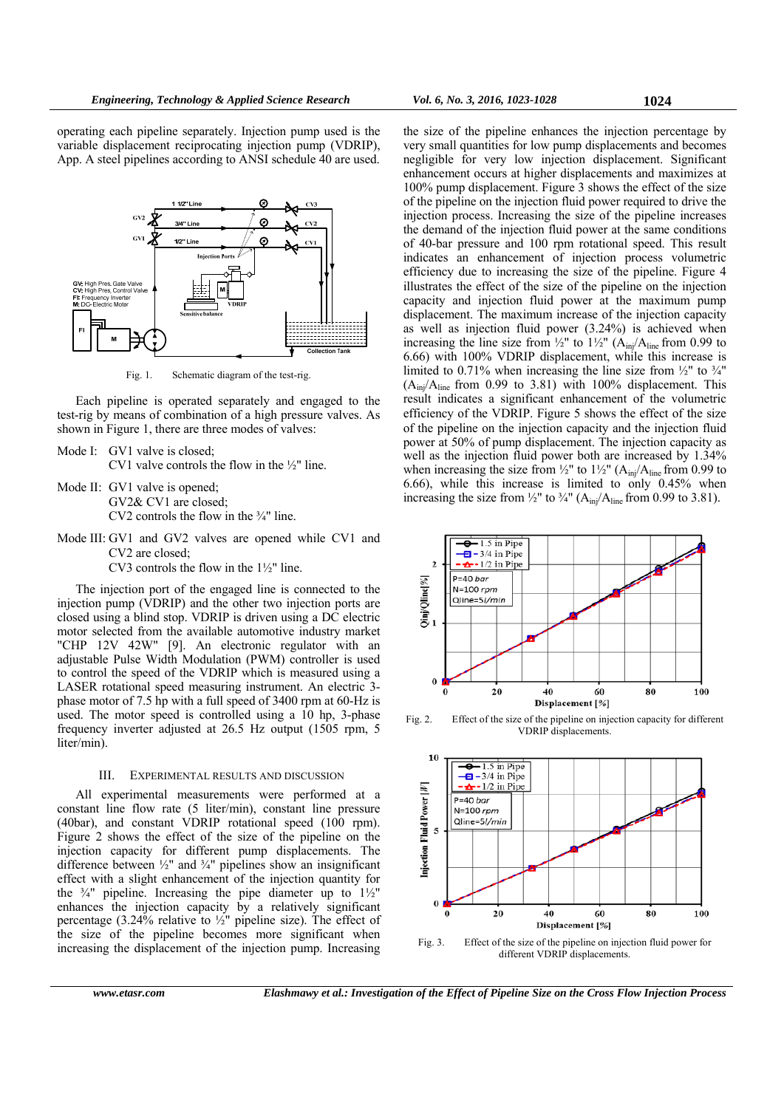operating each pipeline separately. Injection pump used is the variable displacement reciprocating injection pump (VDRIP), App. A steel pipelines according to ANSI schedule 40 are used.



Fig. 1. Schematic diagram of the test-rig.

Each pipeline is operated separately and engaged to the test-rig by means of combination of a high pressure valves. As shown in Figure 1, there are three modes of valves:

Mode I: GV1 valve is closed;

CV1 valve controls the flow in the ½" line.

Mode II: GV1 valve is opened: GV2& CV1 are closed;

CV2 controls the flow in the  $\frac{3}{4}$ " line.

Mode III: GV1 and GV2 valves are opened while CV1 and CV2 are closed;

CV3 controls the flow in the 1½" line.

The injection port of the engaged line is connected to the injection pump (VDRIP) and the other two injection ports are closed using a blind stop. VDRIP is driven using a DC electric motor selected from the available automotive industry market "CHP 12V 42W" [9]. An electronic regulator with an adjustable Pulse Width Modulation (PWM) controller is used to control the speed of the VDRIP which is measured using a LASER rotational speed measuring instrument. An electric 3 phase motor of 7.5 hp with a full speed of 3400 rpm at 60-Hz is used. The motor speed is controlled using a 10 hp, 3-phase frequency inverter adjusted at 26.5 Hz output (1505 rpm, 5 liter/min).

## III. EXPERIMENTAL RESULTS AND DISCUSSION

All experimental measurements were performed at a constant line flow rate (5 liter/min), constant line pressure (40bar), and constant VDRIP rotational speed (100 rpm). Figure 2 shows the effect of the size of the pipeline on the injection capacity for different pump displacements. The difference between  $\frac{1}{2}$ " and  $\frac{3}{4}$ " pipelines show an insignificant effect with a slight enhancement of the injection quantity for the  $\frac{3}{4}$ " pipeline. Increasing the pipe diameter up to  $1\frac{1}{2}$ " enhances the injection capacity by a relatively significant percentage (3.24% relative to  $\frac{1}{2}$ " pipeline size). The effect of the size of the pipeline becomes more significant when increasing the displacement of the injection pump. Increasing

the size of the pipeline enhances the injection percentage by very small quantities for low pump displacements and becomes negligible for very low injection displacement. Significant enhancement occurs at higher displacements and maximizes at 100% pump displacement. Figure 3 shows the effect of the size of the pipeline on the injection fluid power required to drive the injection process. Increasing the size of the pipeline increases the demand of the injection fluid power at the same conditions of 40-bar pressure and 100 rpm rotational speed. This result indicates an enhancement of injection process volumetric efficiency due to increasing the size of the pipeline. Figure 4 illustrates the effect of the size of the pipeline on the injection capacity and injection fluid power at the maximum pump displacement. The maximum increase of the injection capacity as well as injection fluid power (3.24%) is achieved when increasing the line size from  $\frac{1}{2}$ " to  $\frac{1}{2}$ " (A<sub>ini</sub>/A<sub>line</sub> from 0.99 to 6.66) with 100% VDRIP displacement, while this increase is limited to 0.71% when increasing the line size from  $\frac{1}{2}$ " to  $\frac{3}{4}$ "  $(A<sub>ini</sub>/A<sub>line</sub>$  from 0.99 to 3.81) with 100% displacement. This result indicates a significant enhancement of the volumetric efficiency of the VDRIP. Figure 5 shows the effect of the size of the pipeline on the injection capacity and the injection fluid power at 50% of pump displacement. The injection capacity as well as the injection fluid power both are increased by 1.34% when increasing the size from  $\frac{1}{2}$ " to  $\frac{1}{2}$ " (A<sub>inj</sub>/A<sub>line</sub> from 0.99 to 6.66), while this increase is limited to only 0.45% when increasing the size from  $\frac{1}{2}$ " to  $\frac{3}{4}$ " (A<sub>ini</sub>/A<sub>line</sub> from 0.99 to 3.81).



Fig. 2. Effect of the size of the pipeline on injection capacity for different VDRIP displacements.



Fig. 3. Effect of the size of the pipeline on injection fluid power for different VDRIP displacements.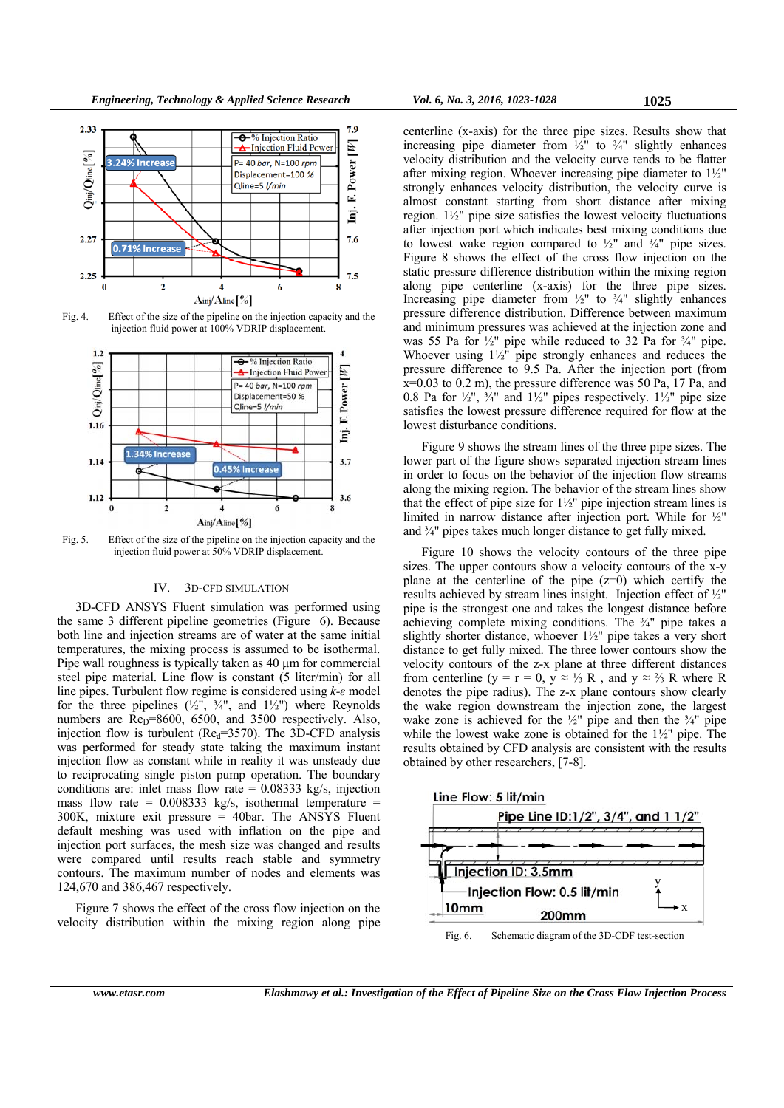

Fig. 4. Effect of the size of the pipeline on the injection capacity and the injection fluid power at 100% VDRIP displacement.



Fig. 5. Effect of the size of the pipeline on the injection capacity and the injection fluid power at 50% VDRIP displacement.

#### IV. 3D-CFD SIMULATION

3D-CFD ANSYS Fluent simulation was performed using the same 3 different pipeline geometries (Figure 6). Because both line and injection streams are of water at the same initial temperatures, the mixing process is assumed to be isothermal. Pipe wall roughness is typically taken as 40 μm for commercial steel pipe material. Line flow is constant (5 liter/min) for all line pipes. Turbulent flow regime is considered using *k-ε* model for the three pipelines  $(\frac{1}{2})^7$ ,  $\frac{3}{4}$ , and  $1\frac{1}{2}$ ) where Reynolds numbers are  $\text{Re}_{\text{D}}$ =8600, 6500, and 3500 respectively. Also, injection flow is turbulent ( $\text{Re}_{d}$ =3570). The 3D-CFD analysis was performed for steady state taking the maximum instant injection flow as constant while in reality it was unsteady due to reciprocating single piston pump operation. The boundary conditions are: inlet mass flow rate  $= 0.08333$  kg/s, injection mass flow rate =  $0.008333$  kg/s, isothermal temperature = 300K, mixture exit pressure  $=$  40bar. The ANSYS Fluent default meshing was used with inflation on the pipe and injection port surfaces, the mesh size was changed and results were compared until results reach stable and symmetry contours. The maximum number of nodes and elements was 124,670 and 386,467 respectively.

Figure 7 shows the effect of the cross flow injection on the velocity distribution within the mixing region along pipe

centerline (x-axis) for the three pipe sizes. Results show that increasing pipe diameter from  $\frac{1}{2}$  to  $\frac{3}{4}$  slightly enhances velocity distribution and the velocity curve tends to be flatter after mixing region. Whoever increasing pipe diameter to 1½" strongly enhances velocity distribution, the velocity curve is almost constant starting from short distance after mixing region. 1½" pipe size satisfies the lowest velocity fluctuations after injection port which indicates best mixing conditions due to lowest wake region compared to  $\frac{1}{2}$ " and  $\frac{3}{4}$ " pipe sizes. Figure 8 shows the effect of the cross flow injection on the static pressure difference distribution within the mixing region along pipe centerline (x-axis) for the three pipe sizes. Increasing pipe diameter from  $\frac{1}{2}$ " to  $\frac{3}{4}$ " slightly enhances pressure difference distribution. Difference between maximum and minimum pressures was achieved at the injection zone and was 55 Pa for  $\frac{1}{2}$ " pipe while reduced to 32 Pa for  $\frac{3}{4}$ " pipe. Whoever using 1½" pipe strongly enhances and reduces the pressure difference to 9.5 Pa. After the injection port (from x=0.03 to 0.2 m), the pressure difference was 50 Pa, 17 Pa, and 0.8 Pa for  $\frac{1}{2}$ ,  $\frac{3}{4}$  and  $\frac{1}{2}$  pipes respectively.  $\frac{1}{2}$  pipe size satisfies the lowest pressure difference required for flow at the lowest disturbance conditions.

Figure 9 shows the stream lines of the three pipe sizes. The lower part of the figure shows separated injection stream lines in order to focus on the behavior of the injection flow streams along the mixing region. The behavior of the stream lines show that the effect of pipe size for  $1\frac{1}{2}$ " pipe injection stream lines is limited in narrow distance after injection port. While for ½" and ¾" pipes takes much longer distance to get fully mixed.

Figure 10 shows the velocity contours of the three pipe sizes. The upper contours show a velocity contours of the x-y plane at the centerline of the pipe  $(z=0)$  which certify the results achieved by stream lines insight. Injection effect of ½" pipe is the strongest one and takes the longest distance before achieving complete mixing conditions. The ¾" pipe takes a slightly shorter distance, whoever 1½" pipe takes a very short distance to get fully mixed. The three lower contours show the velocity contours of the z-x plane at three different distances from centerline (y = r = 0, y  $\approx \frac{1}{3}$  R, and y  $\approx \frac{2}{3}$  R where R denotes the pipe radius). The z-x plane contours show clearly the wake region downstream the injection zone, the largest wake zone is achieved for the  $\frac{1}{2}$ " pipe and then the  $\frac{3}{4}$ " pipe while the lowest wake zone is obtained for the 1½" pipe. The results obtained by CFD analysis are consistent with the results obtained by other researchers, [7-8].



*www.etasr.com Elashmawy et al.: Investigation of the Effect of Pipeline Size on the Cross Flow Injection Process*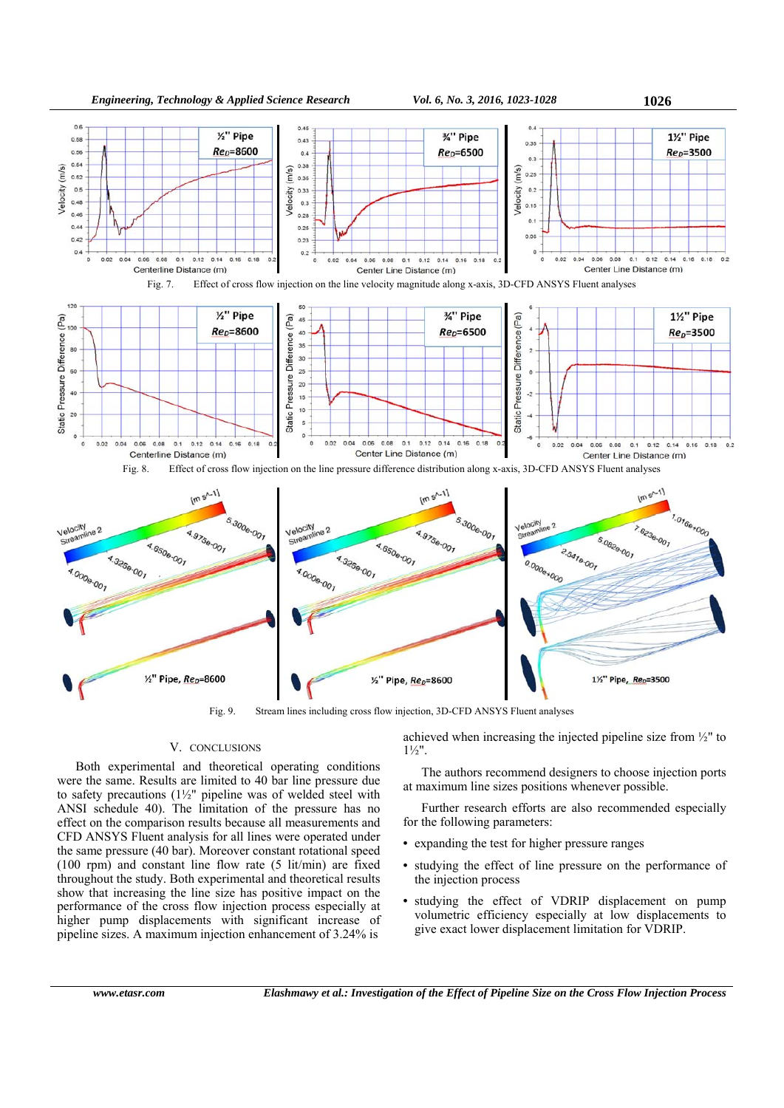

Fig. 9. Stream lines including cross flow injection, 3D-CFD ANSYS Fluent analyses

# V. CONCLUSIONS

Both experimental and theoretical operating conditions were the same. Results are limited to 40 bar line pressure due to safety precautions (1½" pipeline was of welded steel with ANSI schedule 40). The limitation of the pressure has no effect on the comparison results because all measurements and CFD ANSYS Fluent analysis for all lines were operated under the same pressure (40 bar). Moreover constant rotational speed (100 rpm) and constant line flow rate (5 lit/min) are fixed throughout the study. Both experimental and theoretical results show that increasing the line size has positive impact on the performance of the cross flow injection process especially at higher pump displacements with significant increase of pipeline sizes. A maximum injection enhancement of 3.24% is

achieved when increasing the injected pipeline size from ½" to  $1\frac{1}{2}$ ".

The authors recommend designers to choose injection ports at maximum line sizes positions whenever possible.

Further research efforts are also recommended especially for the following parameters:

- expanding the test for higher pressure ranges
- studying the effect of line pressure on the performance of the injection process
- studying the effect of VDRIP displacement on pump volumetric efficiency especially at low displacements to give exact lower displacement limitation for VDRIP.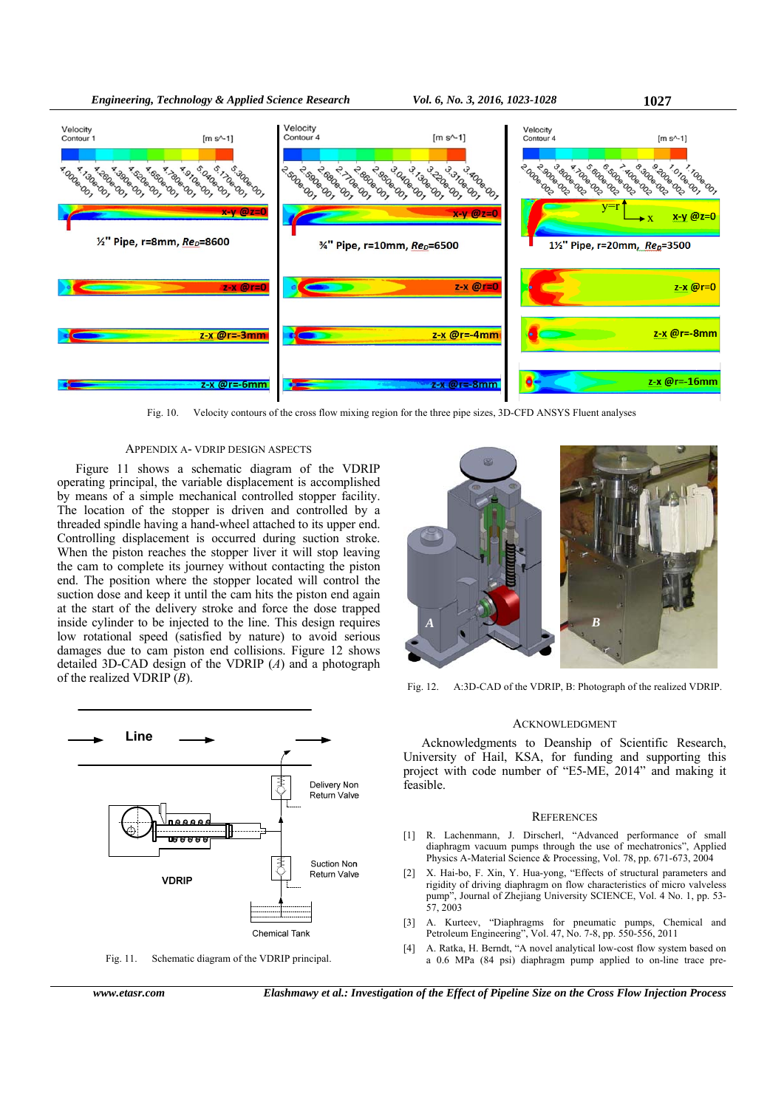![](_page_4_Figure_2.jpeg)

Fig. 10. Velocity contours of the cross flow mixing region for the three pipe sizes, 3D-CFD ANSYS Fluent analyses

#### APPENDIX A- VDRIP DESIGN ASPECTS

Figure 11 shows a schematic diagram of the VDRIP operating principal, the variable displacement is accomplished by means of a simple mechanical controlled stopper facility. The location of the stopper is driven and controlled by a threaded spindle having a hand-wheel attached to its upper end. Controlling displacement is occurred during suction stroke. When the piston reaches the stopper liver it will stop leaving the cam to complete its journey without contacting the piston end. The position where the stopper located will control the suction dose and keep it until the cam hits the piston end again at the start of the delivery stroke and force the dose trapped inside cylinder to be injected to the line. This design requires low rotational speed (satisfied by nature) to avoid serious damages due to cam piston end collisions. Figure 12 shows detailed 3D-CAD design of the VDRIP (*A*) and a photograph of the realized VDRIP (*B*).

![](_page_4_Figure_6.jpeg)

Fig. 11. Schematic diagram of the VDRIP principal.

![](_page_4_Picture_10.jpeg)

Fig. 12. A:3D-CAD of the VDRIP, B: Photograph of the realized VDRIP.

#### ACKNOWLEDGMENT

Acknowledgments to Deanship of Scientific Research, University of Hail, KSA, for funding and supporting this project with code number of "E5-ME, 2014" and making it feasible.

#### **REFERENCES**

- [1] R. Lachenmann, J. Dirscherl, "Advanced performance of small diaphragm vacuum pumps through the use of mechatronics", Applied Physics A-Material Science & Processing, Vol. 78, pp. 671-673, 2004
- [2] X. Hai-bo, F. Xin, Y. Hua-vong, "Effects of structural parameters and rigidity of driving diaphragm on flow characteristics of micro valveless pump", Journal of Zhejiang University SCIENCE, Vol. 4 No. 1, pp. 53- 57, 2003
- [3] A. Kurteev, "Diaphragms for pneumatic pumps, Chemical and Petroleum Engineering", Vol. 47, No. 7-8, pp. 550-556, 2011
- [4] A. Ratka, H. Berndt, "A novel analytical low-cost flow system based on a 0.6 MPa (84 psi) diaphragm pump applied to on-line trace pre-

*Engineering, Technology & Applied Science Research Vol. 6, No. 3, 2016, 1023-1028* **1027**